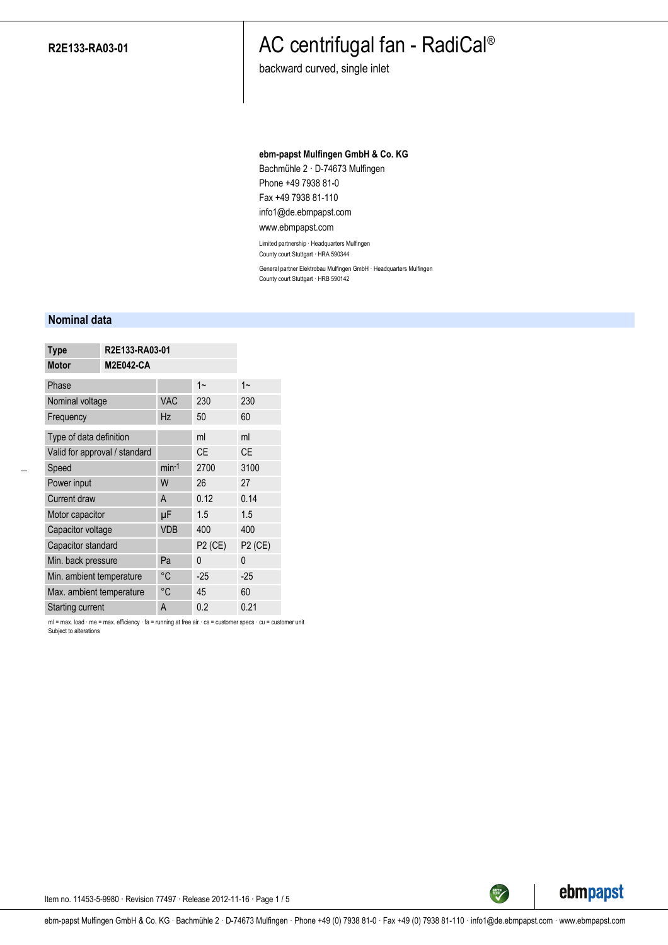### **R2E133-RA03-01**

## AC centrifugal fan - RadiCal®

backward curved, single inlet

#### **ebm-papst Mulfingen GmbH & Co. KG**

Bachmühle 2 · D-74673 Mulfingen Phone +49 7938 81-0 Fax +49 7938 81-110 info1@de.ebmpapst.com

#### www.ebmpapst.com

Limited partnership · Headquarters Mulfingen

County court Stuttgart · HRA 590344 General partner Elektrobau Mulfingen GmbH · Headquarters Mulfingen

County court Stuttgart · HRB 590142

#### **Nominal data**

| <b>Type</b>                   | R2E133-RA03-01   |            |           |           |  |  |
|-------------------------------|------------------|------------|-----------|-----------|--|--|
| <b>Motor</b>                  | <b>M2E042-CA</b> |            |           |           |  |  |
| Phase                         |                  |            | $1 -$     | $1 -$     |  |  |
| Nominal voltage               |                  | <b>VAC</b> | 230       | 230       |  |  |
| Frequency                     |                  | Hz         | 50        | 60        |  |  |
| Type of data definition       |                  |            | ml        | ml        |  |  |
| Valid for approval / standard |                  |            | <b>CE</b> | <b>CE</b> |  |  |
| Speed                         |                  | $min-1$    | 2700      | 3100      |  |  |
| Power input                   |                  | W          | 26        | 27        |  |  |
| <b>Current draw</b>           |                  | A          | 0.12      | 0.14      |  |  |
| Motor capacitor               |                  | μF         | 1.5       | 1.5       |  |  |
| Capacitor voltage             |                  | <b>VDB</b> | 400       | 400       |  |  |
| Capacitor standard            |                  |            | P2 (CE)   | P2 (CE)   |  |  |
| Min. back pressure            |                  | Pa         | 0         | 0         |  |  |
| Min. ambient temperature      |                  | °C         | $-25$     | $-25$     |  |  |
| Max. ambient temperature      |                  | °C         | 45        | 60        |  |  |
| <b>Starting current</b>       |                  | A          | 0.2       | 0.21      |  |  |

ml = max. load · me = max. efficiency · fa = running at free air · cs = customer specs · cu = customer unit Subject to alterations



Item no. 11453-5-9980 · Revision 77497 · Release 2012-11-16 · Page 1 / 5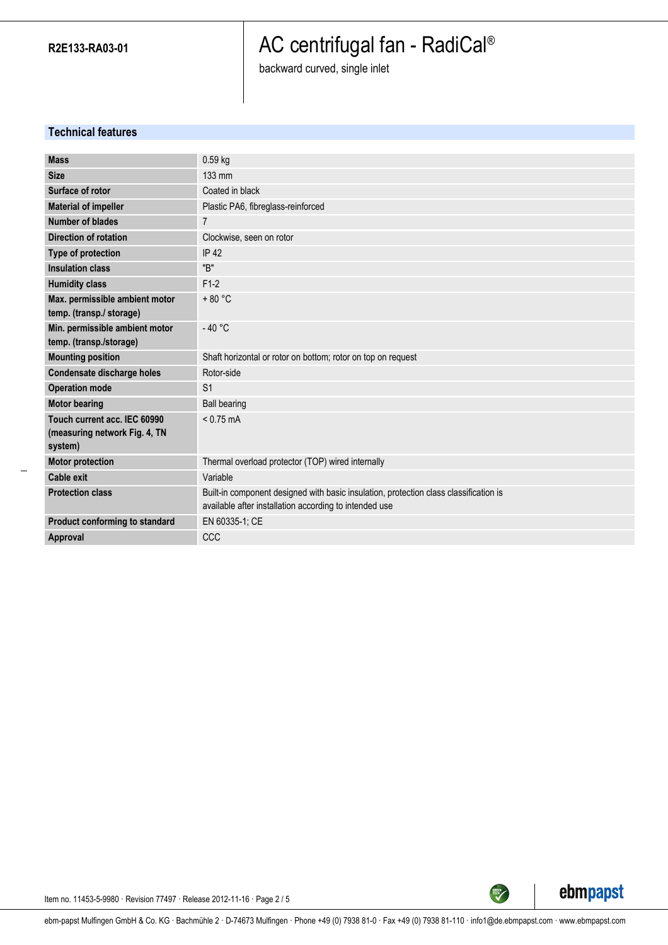**R2E133-RA03-01**

# AC centrifugal fan - RadiCal®

backward curved, single inlet

### **Technical features**

| <b>Mass</b>                           | $0.59$ kg                                                                                                                                       |
|---------------------------------------|-------------------------------------------------------------------------------------------------------------------------------------------------|
| <b>Size</b>                           | 133 mm                                                                                                                                          |
| Surface of rotor                      | Coated in black                                                                                                                                 |
| <b>Material of impeller</b>           | Plastic PA6, fibreglass-reinforced                                                                                                              |
| Number of blades                      | $\overline{7}$                                                                                                                                  |
| <b>Direction of rotation</b>          | Clockwise, seen on rotor                                                                                                                        |
| Type of protection                    | IP 42                                                                                                                                           |
| <b>Insulation class</b>               | "B"                                                                                                                                             |
| <b>Humidity class</b>                 | $F1-2$                                                                                                                                          |
| Max. permissible ambient motor        | $+80 °C$                                                                                                                                        |
| temp. (transp./ storage)              |                                                                                                                                                 |
| Min. permissible ambient motor        | $-40 °C$                                                                                                                                        |
| temp. (transp./storage)               |                                                                                                                                                 |
| <b>Mounting position</b>              | Shaft horizontal or rotor on bottom; rotor on top on request                                                                                    |
| Condensate discharge holes            | Rotor-side                                                                                                                                      |
| <b>Operation mode</b>                 | S <sub>1</sub>                                                                                                                                  |
| <b>Motor bearing</b>                  | <b>Ball bearing</b>                                                                                                                             |
| Touch current acc. IEC 60990          | $< 0.75$ mA                                                                                                                                     |
| (measuring network Fig. 4, TN         |                                                                                                                                                 |
| system)                               |                                                                                                                                                 |
| <b>Motor protection</b>               | Thermal overload protector (TOP) wired internally                                                                                               |
| <b>Cable exit</b>                     | Variable                                                                                                                                        |
| <b>Protection class</b>               | Built-in component designed with basic insulation, protection class classification is<br>available after installation according to intended use |
| <b>Product conforming to standard</b> | EN 60335-1; CE                                                                                                                                  |
| Approval                              | CCC                                                                                                                                             |



TECH

Item no. 11453-5-9980 · Revision 77497 · Release 2012-11-16 · Page 2 / 5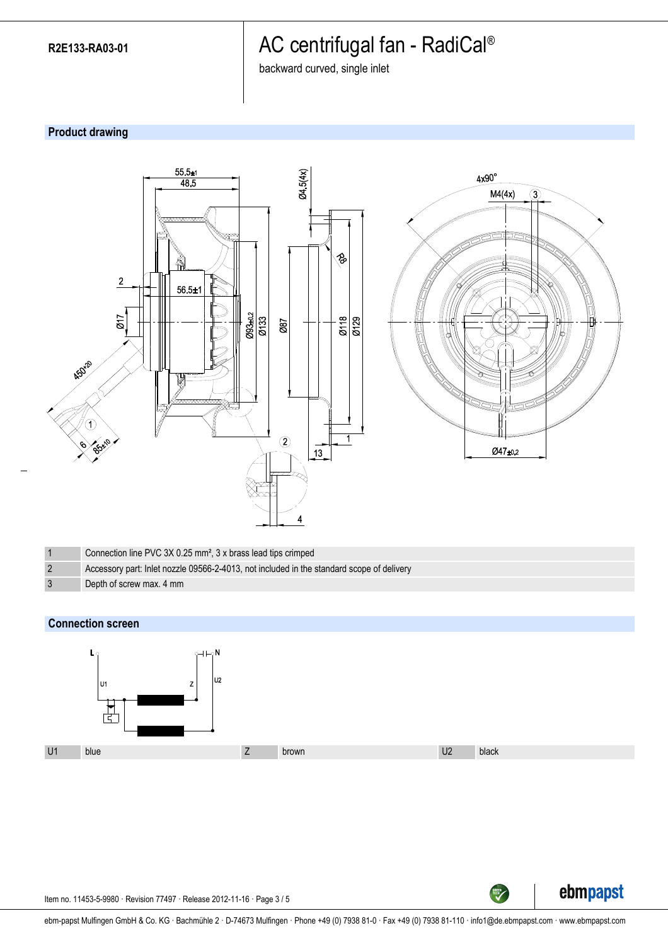## AC centrifugal fan - RadiCal®

backward curved, single inlet

### **Product drawing**



|  | Connection line PVC 3X 0.25 mm <sup>2</sup> , 3 x brass lead tips crimped |
|--|---------------------------------------------------------------------------|
|--|---------------------------------------------------------------------------|

- 2 Accessory part: Inlet nozzle 09566-2-4013, not included in the standard scope of delivery
- 3 Depth of screw max. 4 mm

#### **Connection screen**





TECH

Item no. 11453-5-9980 · Revision 77497 · Release 2012-11-16 · Page 3 / 5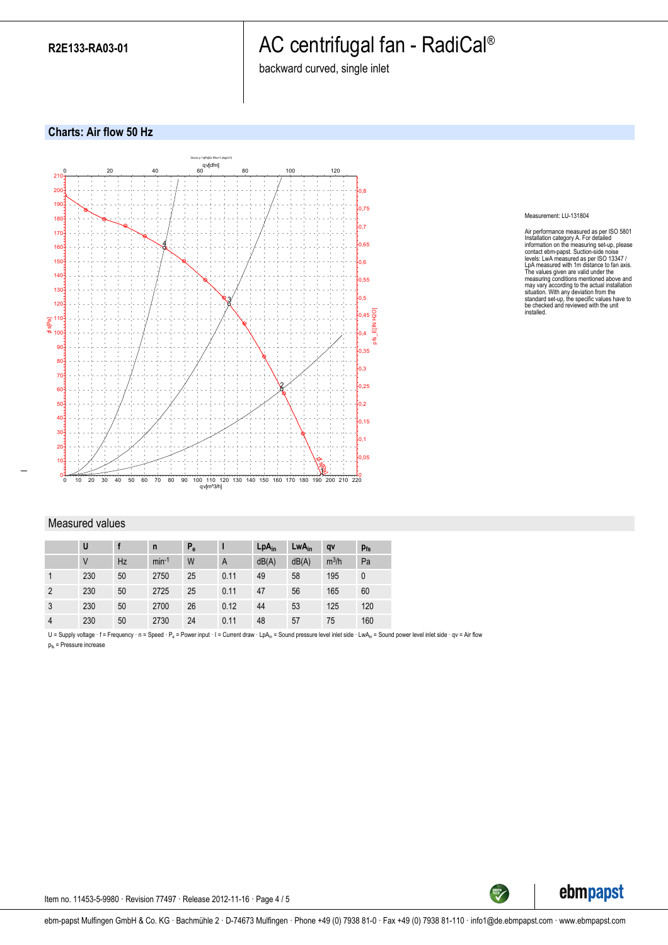## AC centrifugal fan - RadiCal®

backward curved, single inlet

#### **Charts: Air flow 50 Hz**



#### Measurement: LU-131804

Air performance measured as per ISO 5801<br>Installation category A. For detailed inclonediation and information on the measuring set-up, please<br>contact ebrn-papst. Suction-side noise<br>levels: LwA measured as per ISO 13347 /<br>L

#### Measured values

|                | U      |    | n       | $P_e$ |      | LpA <sub>in</sub> | LwA <sub>in</sub> | qv      | $p_{fs}$ |
|----------------|--------|----|---------|-------|------|-------------------|-------------------|---------|----------|
|                | $\vee$ | Hz | $min-1$ | W     | A    | dB(A)             | dB(A)             | $m^3/h$ | Pa       |
|                | 230    | 50 | 2750    | 25    | 0.11 | 49                | 58                | 195     | 0        |
| $\overline{2}$ | 230    | 50 | 2725    | 25    | 0.11 | 47                | 56                | 165     | 60       |
| 3              | 230    | 50 | 2700    | 26    | 0.12 | 44                | 53                | 125     | 120      |
| 4              | 230    | 50 | 2730    | 24    | 0.11 | 48                | 57                | 75      | 160      |

U = Supply voltage · f = Frequency · n = Speed · P<sub>e</sub> = Power input · I = Current draw · LpA<sub>in</sub> = Sound pressure level inlet side · LwA<sub>in</sub> = Sound power level inlet side · qv = Air flow  $p_{fs}$  = Pressure increase



TECH

Item no. 11453-5-9980 · Revision 77497 · Release 2012-11-16 · Page 4 / 5